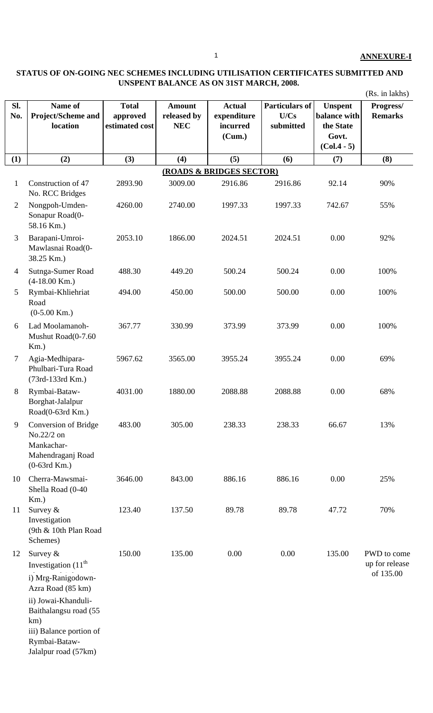## **STATUS OF ON-GOING NEC SCHEMES INCLUDING UTILISATION CERTIFICATES SUBMITTED AND UNSPENT BALANCE AS ON 31ST MARCH, 2008.**

|                |                                                                                                                                                                                   |                                            |                                            |                                                    |                                            |                                                                       | (Rs. in lakhs)                             |
|----------------|-----------------------------------------------------------------------------------------------------------------------------------------------------------------------------------|--------------------------------------------|--------------------------------------------|----------------------------------------------------|--------------------------------------------|-----------------------------------------------------------------------|--------------------------------------------|
| Sl.<br>No.     | Name of<br>Project/Scheme and<br>location                                                                                                                                         | <b>Total</b><br>approved<br>estimated cost | <b>Amount</b><br>released by<br><b>NEC</b> | <b>Actual</b><br>expenditure<br>incurred<br>(Cum.) | <b>Particulars of</b><br>U/Cs<br>submitted | <b>Unspent</b><br>balance with<br>the State<br>Govt.<br>$(Col.4 - 5)$ | Progress/<br><b>Remarks</b>                |
| (1)            | (2)                                                                                                                                                                               | (3)                                        | (4)                                        | (5)                                                | (6)                                        | (7)                                                                   | (8)                                        |
|                |                                                                                                                                                                                   |                                            |                                            | (ROADS & BRIDGES SECTOR)                           |                                            |                                                                       |                                            |
| $\mathbf{1}$   | Construction of 47<br>No. RCC Bridges                                                                                                                                             | 2893.90                                    | 3009.00                                    | 2916.86                                            | 2916.86                                    | 92.14                                                                 | 90%                                        |
| $\overline{2}$ | Nongpoh-Umden-<br>Sonapur Road(0-<br>58.16 Km.)                                                                                                                                   | 4260.00                                    | 2740.00                                    | 1997.33                                            | 1997.33                                    | 742.67                                                                | 55%                                        |
| 3              | Barapani-Umroi-<br>Mawlasnai Road(0-<br>38.25 Km.)                                                                                                                                | 2053.10                                    | 1866.00                                    | 2024.51                                            | 2024.51                                    | 0.00                                                                  | 92%                                        |
| 4              | Sutnga-Sumer Road<br>$(4-18.00$ Km.)                                                                                                                                              | 488.30                                     | 449.20                                     | 500.24                                             | 500.24                                     | 0.00                                                                  | 100%                                       |
| 5              | Rymbai-Khliehriat<br>Road<br>$(0-5.00$ Km.)                                                                                                                                       | 494.00                                     | 450.00                                     | 500.00                                             | 500.00                                     | 0.00                                                                  | 100%                                       |
| 6              | Lad Moolamanoh-<br>Mushut Road(0-7.60<br>$Km$ .)                                                                                                                                  | 367.77                                     | 330.99                                     | 373.99                                             | 373.99                                     | 0.00                                                                  | 100%                                       |
| $\tau$         | Agia-Medhipara-<br>Phulbari-Tura Road<br>(73rd-133rd Km.)                                                                                                                         | 5967.62                                    | 3565.00                                    | 3955.24                                            | 3955.24                                    | 0.00                                                                  | 69%                                        |
| 8              | Rymbai-Bataw-<br>Borghat-Jalalpur<br>Road(0-63rd Km.)                                                                                                                             | 4031.00                                    | 1880.00                                    | 2088.88                                            | 2088.88                                    | 0.00                                                                  | 68%                                        |
| 9              | Conversion of Bridge<br>No.22/2 on<br>Mankachar-<br>Mahendraganj Road<br>$(0-63rd$ Km.)                                                                                           | 483.00                                     | 305.00                                     | 238.33                                             | 238.33                                     | 66.67                                                                 | 13%                                        |
| 10             | Cherra-Mawsmai-<br>Shella Road (0-40<br>$Km.$ )                                                                                                                                   | 3646.00                                    | 843.00                                     | 886.16                                             | 886.16                                     | 0.00                                                                  | 25%                                        |
| 11             | Survey $&$<br>Investigation<br>(9th & 10th Plan Road<br>Schemes)                                                                                                                  | 123.40                                     | 137.50                                     | 89.78                                              | 89.78                                      | 47.72                                                                 | 70%                                        |
| 12             | Survey $&$<br>Investigation $(11th$<br>i) Mrg-Ranigodown-<br>Azra Road (85 km)<br>ii) Jowai-Khanduli-<br>Baithalangsu road (55<br>km)<br>iii) Balance portion of<br>Rymbai-Bataw- | 150.00                                     | 135.00                                     | 0.00                                               | 0.00                                       | 135.00                                                                | PWD to come<br>up for release<br>of 135.00 |
|                | Jalalpur road (57km)                                                                                                                                                              |                                            |                                            |                                                    |                                            |                                                                       |                                            |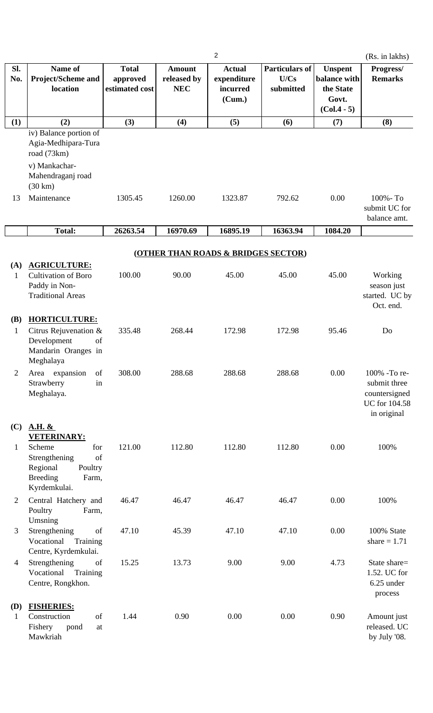|                            |                                                                                                                                        |                                            |                                            | $\overline{2}$                                     |                                            |                                                                       | (Rs. in lakhs)                                                                |
|----------------------------|----------------------------------------------------------------------------------------------------------------------------------------|--------------------------------------------|--------------------------------------------|----------------------------------------------------|--------------------------------------------|-----------------------------------------------------------------------|-------------------------------------------------------------------------------|
| SI.<br>No.                 | Name of<br><b>Project/Scheme and</b><br>location                                                                                       | <b>Total</b><br>approved<br>estimated cost | <b>Amount</b><br>released by<br><b>NEC</b> | <b>Actual</b><br>expenditure<br>incurred<br>(Cum.) | <b>Particulars of</b><br>U/Cs<br>submitted | <b>Unspent</b><br>balance with<br>the State<br>Govt.<br>$(Col.4 - 5)$ | Progress/<br><b>Remarks</b>                                                   |
| (1)                        | (2)                                                                                                                                    | (3)                                        | (4)                                        | (5)                                                | (6)                                        | (7)                                                                   | (8)                                                                           |
| 13                         | iv) Balance portion of<br>Agia-Medhipara-Tura<br>road (73km)<br>v) Mankachar-<br>Mahendraganj road<br>$(30 \text{ km})$<br>Maintenance | 1305.45                                    | 1260.00                                    | 1323.87                                            | 792.62                                     | 0.00                                                                  | 100% - To<br>submit UC for<br>balance amt.                                    |
|                            | <b>Total:</b>                                                                                                                          | 26263.54                                   | 16970.69                                   | 16895.19                                           | 16363.94                                   | 1084.20                                                               |                                                                               |
|                            |                                                                                                                                        |                                            |                                            |                                                    |                                            |                                                                       |                                                                               |
|                            |                                                                                                                                        |                                            |                                            | (OTHER THAN ROADS & BRIDGES SECTOR)                |                                            |                                                                       |                                                                               |
| (A)<br>1                   | <b>AGRICULTURE:</b><br><b>Cultivation of Boro</b><br>Paddy in Non-<br><b>Traditional Areas</b>                                         | 100.00                                     | 90.00                                      | 45.00                                              | 45.00                                      | 45.00                                                                 | Working<br>season just<br>started. UC by<br>Oct. end.                         |
| <b>(B)</b><br>$\mathbf{1}$ | <b>HORTICULTURE:</b><br>Citrus Rejuvenation &<br>Development<br>of<br>Mandarin Oranges in<br>Meghalaya                                 | 335.48                                     | 268.44                                     | 172.98                                             | 172.98                                     | 95.46                                                                 | Do                                                                            |
| $\overline{2}$             | Area expansion<br>of<br>Strawberry<br>in<br>Meghalaya.                                                                                 | 308.00                                     | 288.68                                     | 288.68                                             | 288.68                                     | 0.00                                                                  | 100% -To re-<br>submit three<br>countersigned<br>UC for 104.58<br>in original |
| (C)<br>$\mathbf{1}$        | <b>A.H. &amp;</b><br>VETERINARY:<br>Scheme<br>for<br>of<br>Strengthening<br>Regional<br>Poultry<br><b>Breeding</b><br>Farm,            | 121.00                                     | 112.80                                     | 112.80                                             | 112.80                                     | 0.00                                                                  | 100%                                                                          |
| $\overline{2}$             | Kyrdemkulai.<br>Central Hatchery and<br>Poultry<br>Farm,                                                                               | 46.47                                      | 46.47                                      | 46.47                                              | 46.47                                      | 0.00                                                                  | 100%                                                                          |
| 3                          | Umsning<br>Strengthening<br>of<br>Training<br>Vocational<br>Centre, Kyrdemkulai.                                                       | 47.10                                      | 45.39                                      | 47.10                                              | 47.10                                      | 0.00                                                                  | 100% State<br>share $= 1.71$                                                  |
| $\overline{4}$             | Strengthening<br>of<br>Training<br>Vocational<br>Centre, Rongkhon.                                                                     | 15.25                                      | 13.73                                      | 9.00                                               | 9.00                                       | 4.73                                                                  | State share=<br>1.52. UC for<br>6.25 under<br>process                         |
| <b>(D)</b><br>$\mathbf{1}$ | <b>FISHERIES:</b><br>of<br>Construction<br>Fishery<br>pond<br>at<br>Mawkriah                                                           | 1.44                                       | 0.90                                       | 0.00                                               | 0.00                                       | 0.90                                                                  | Amount just<br>released. UC<br>by July '08.                                   |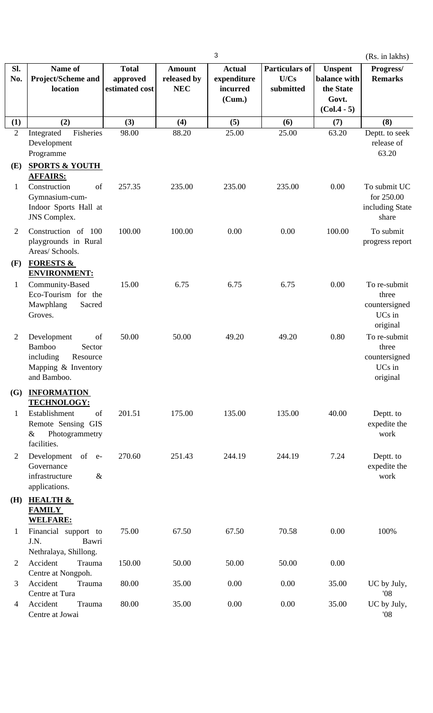|                       |                                                                                                         |                                            |                                            | 3                                                  |                                            |                                                                       | (Rs. in lakhs)                                               |
|-----------------------|---------------------------------------------------------------------------------------------------------|--------------------------------------------|--------------------------------------------|----------------------------------------------------|--------------------------------------------|-----------------------------------------------------------------------|--------------------------------------------------------------|
| SI.<br>No.            | Name of<br><b>Project/Scheme and</b><br>location                                                        | <b>Total</b><br>approved<br>estimated cost | <b>Amount</b><br>released by<br><b>NEC</b> | <b>Actual</b><br>expenditure<br>incurred<br>(Cum.) | <b>Particulars of</b><br>U/Cs<br>submitted | <b>Unspent</b><br>balance with<br>the State<br>Govt.<br>$(Col.4 - 5)$ | Progress/<br><b>Remarks</b>                                  |
| (1)                   | (2)                                                                                                     | (3)                                        | (4)                                        | (5)                                                | (6)                                        | (7)                                                                   | (8)                                                          |
| $\overline{2}$<br>(E) | Integrated<br>Fisheries<br>Development<br>Programme<br><b>SPORTS &amp; YOUTH</b>                        | 98.00                                      | 88.20                                      | 25.00                                              | 25.00                                      | 63.20                                                                 | Deptt. to seek<br>release of<br>63.20                        |
| $\mathbf{1}$          | <b>AFFAIRS:</b><br>Construction<br>of<br>Gymnasium-cum-<br>Indoor Sports Hall at<br><b>JNS</b> Complex. | 257.35                                     | 235.00                                     | 235.00                                             | 235.00                                     | 0.00                                                                  | To submit UC<br>for 250.00<br>including State<br>share       |
| $\mathfrak{2}$        | Construction of 100<br>playgrounds in Rural<br>Areas/ Schools.                                          | 100.00                                     | 100.00                                     | 0.00                                               | 0.00                                       | 100.00                                                                | To submit<br>progress report                                 |
| (F)                   | <b>FORESTS &amp;</b><br><b>ENVIRONMENT:</b>                                                             |                                            |                                            |                                                    |                                            |                                                                       |                                                              |
| $\mathbf{1}$          | Community-Based<br>Eco-Tourism for the<br>Mawphlang<br>Sacred<br>Groves.                                | 15.00                                      | 6.75                                       | 6.75                                               | 6.75                                       | 0.00                                                                  | To re-submit<br>three<br>countersigned<br>UCs in<br>original |
| $\overline{c}$        | of<br>Development<br>Bamboo<br>Sector<br>including<br>Resource<br>Mapping & Inventory<br>and Bamboo.    | 50.00                                      | 50.00                                      | 49.20                                              | 49.20                                      | 0.80                                                                  | To re-submit<br>three<br>countersigned<br>UCs in<br>original |
| <b>(G)</b>            | <b>INFORMATION</b><br><b>TECHNOLOGY:</b>                                                                |                                            |                                            |                                                    |                                            |                                                                       |                                                              |
| $\mathbf{1}$          | Establishment<br>of<br>Remote Sensing GIS<br>Photogrammetry<br>$\&$<br>facilities.                      | 201.51                                     | 175.00                                     | 135.00                                             | 135.00                                     | 40.00                                                                 | Deptt. to<br>expedite the<br>work                            |
| 2                     | Development of e-<br>Governance<br>$\&$<br>infrastructure<br>applications.                              | 270.60                                     | 251.43                                     | 244.19                                             | 244.19                                     | 7.24                                                                  | Deptt. to<br>expedite the<br>work                            |
| (H)                   | <b>HEALTH &amp;</b><br><b>FAMILY</b><br><b>WELFARE:</b>                                                 |                                            |                                            |                                                    |                                            |                                                                       |                                                              |
| $\mathbf 1$           | Financial support to<br>J.N.<br>Bawri<br>Nethralaya, Shillong.                                          | 75.00                                      | 67.50                                      | 67.50                                              | 70.58                                      | 0.00                                                                  | 100%                                                         |
| $\overline{2}$        | Accident<br>Trauma<br>Centre at Nongpoh.                                                                | 150.00                                     | 50.00                                      | 50.00                                              | 50.00                                      | 0.00                                                                  |                                                              |
| 3                     | Accident<br>Trauma<br>Centre at Tura                                                                    | 80.00                                      | 35.00                                      | 0.00                                               | 0.00                                       | 35.00                                                                 | UC by July,<br>'08                                           |
| $\overline{4}$        | Accident<br>Trauma<br>Centre at Jowai                                                                   | 80.00                                      | 35.00                                      | 0.00                                               | 0.00                                       | 35.00                                                                 | UC by July,<br>08'                                           |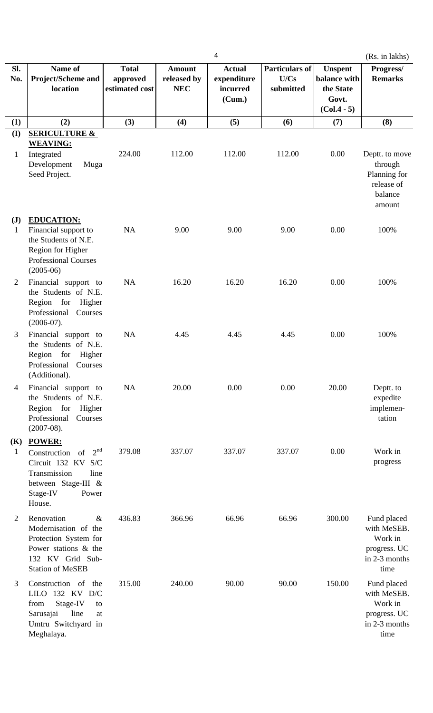|                                |                                                                                                                                                               |                                            |                                            | 4                                                  |                                     |                                                                       | (Rs. in lakhs)                                                                 |
|--------------------------------|---------------------------------------------------------------------------------------------------------------------------------------------------------------|--------------------------------------------|--------------------------------------------|----------------------------------------------------|-------------------------------------|-----------------------------------------------------------------------|--------------------------------------------------------------------------------|
| Sl.<br>No.                     | Name of<br><b>Project/Scheme and</b><br>location                                                                                                              | <b>Total</b><br>approved<br>estimated cost | <b>Amount</b><br>released by<br><b>NEC</b> | <b>Actual</b><br>expenditure<br>incurred<br>(Cum.) | Particulars of<br>U/Cs<br>submitted | <b>Unspent</b><br>balance with<br>the State<br>Govt.<br>$(Col.4 - 5)$ | Progress/<br><b>Remarks</b>                                                    |
| (1)                            | (2)                                                                                                                                                           | (3)                                        | (4)                                        | (5)                                                | (6)                                 | (7)                                                                   | (8)                                                                            |
| (I)<br>$\mathbf{1}$            | <b>SERICULTURE &amp;</b><br><b>WEAVING:</b><br>Integrated                                                                                                     | 224.00                                     | 112.00                                     | 112.00                                             | 112.00                              | 0.00                                                                  | Deptt. to move                                                                 |
|                                | Development<br>Muga<br>Seed Project.                                                                                                                          |                                            |                                            |                                                    |                                     |                                                                       | through<br>Planning for<br>release of<br>balance<br>amount                     |
| $(\mathbf{J})$<br>$\mathbf{1}$ | <b>EDUCATION:</b><br>Financial support to<br>the Students of N.E.<br>Region for Higher<br><b>Professional Courses</b><br>$(2005-06)$                          | NA                                         | 9.00                                       | 9.00                                               | 9.00                                | 0.00                                                                  | 100%                                                                           |
| $\overline{2}$                 | Financial support to<br>the Students of N.E.<br>Region for Higher<br>Professional<br>Courses<br>$(2006-07).$                                                  | NA                                         | 16.20                                      | 16.20                                              | 16.20                               | 0.00                                                                  | 100%                                                                           |
| 3                              | Financial support to<br>the Students of N.E.<br>Region for<br>Higher<br>Professional<br>Courses<br>(Additional).                                              | NA                                         | 4.45                                       | 4.45                                               | 4.45                                | 0.00                                                                  | 100%                                                                           |
| $\overline{4}$                 | Financial support to<br>the Students of N.E.<br>Region for<br>Higher<br>Professional<br>Courses<br>$(2007-08).$                                               | <b>NA</b>                                  | 20.00                                      | 0.00                                               | 0.00                                | 20.00                                                                 | Deptt. to<br>expedite<br>implemen-<br>tation                                   |
| <b>(K)</b><br>$\mathbf{1}$     | <b>POWER:</b><br>2 <sup>nd</sup><br>Construction<br>of<br>Circuit 132 KV<br>S/C<br>Transmission<br>line<br>between Stage-III &<br>Stage-IV<br>Power<br>House. | 379.08                                     | 337.07                                     | 337.07                                             | 337.07                              | 0.00                                                                  | Work in<br>progress                                                            |
| $\overline{2}$                 | Renovation<br>$\&$<br>Modernisation of the<br>Protection System for<br>Power stations & the<br>132 KV Grid Sub-<br><b>Station of MeSEB</b>                    | 436.83                                     | 366.96                                     | 66.96                                              | 66.96                               | 300.00                                                                | Fund placed<br>with MeSEB.<br>Work in<br>progress. UC<br>in 2-3 months<br>time |
| 3                              | Construction of<br>the<br>LILO 132 KV D/C<br>Stage-IV<br>from<br>to<br>Sarusajai<br>line<br>at<br>Umtru Switchyard in<br>Meghalaya.                           | 315.00                                     | 240.00                                     | 90.00                                              | 90.00                               | 150.00                                                                | Fund placed<br>with MeSEB.<br>Work in<br>progress. UC<br>in 2-3 months<br>time |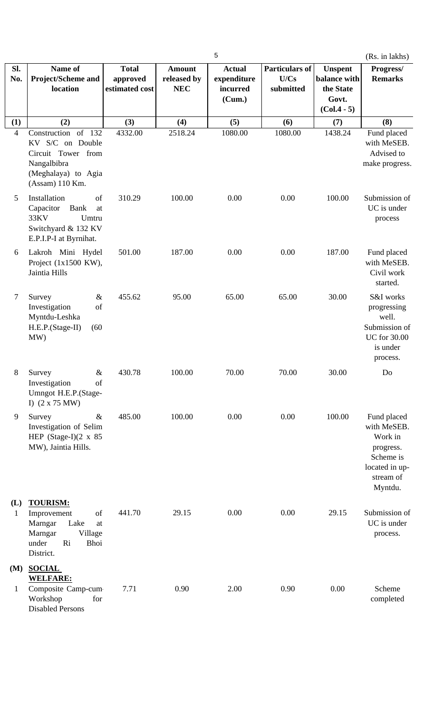|                            |                                                                                                                                                 |                                            |                                            | 5                                                  |                                            |                                                                       | (Rs. in lakhs)                                                                                            |
|----------------------------|-------------------------------------------------------------------------------------------------------------------------------------------------|--------------------------------------------|--------------------------------------------|----------------------------------------------------|--------------------------------------------|-----------------------------------------------------------------------|-----------------------------------------------------------------------------------------------------------|
| Sl.<br>No.                 | Name of<br>Project/Scheme and<br>location                                                                                                       | <b>Total</b><br>approved<br>estimated cost | <b>Amount</b><br>released by<br><b>NEC</b> | <b>Actual</b><br>expenditure<br>incurred<br>(Cum.) | <b>Particulars of</b><br>U/Cs<br>submitted | <b>Unspent</b><br>balance with<br>the State<br>Govt.<br>$(Col.4 - 5)$ | Progress/<br><b>Remarks</b>                                                                               |
| (1)                        | (2)                                                                                                                                             | (3)                                        | (4)                                        | (5)                                                | (6)                                        | (7)                                                                   | (8)                                                                                                       |
| $\overline{\mathcal{L}}$   | Construction of 132<br>KV S/C on Double<br>Circuit Tower from<br>Nangalbibra<br>(Meghalaya) to Agia<br>(Assam) 110 Km.                          | 4332.00                                    | 2518.24                                    | 1080.00                                            | 1080.00                                    | 1438.24                                                               | Fund placed<br>with MeSEB.<br>Advised to<br>make progress.                                                |
| 5                          | Installation<br>of<br>Capacitor<br><b>Bank</b><br>at<br>33KV<br>Umtru<br>Switchyard & 132 KV<br>E.P.I.P-I at Byrnihat.                          | 310.29                                     | 100.00                                     | 0.00                                               | 0.00                                       | 100.00                                                                | Submission of<br>UC is under<br>process                                                                   |
| 6                          | Lakroh Mini Hydel<br>Project $(1x1500 \text{ KW})$ ,<br>Jaintia Hills                                                                           | 501.00                                     | 187.00                                     | 0.00                                               | 0.00                                       | 187.00                                                                | Fund placed<br>with MeSEB.<br>Civil work<br>started.                                                      |
| 7                          | $\&$<br>Survey<br>Investigation<br>of<br>Myntdu-Leshka<br>H.E.P.(Stage-II)<br>(60)<br>MW)                                                       | 455.62                                     | 95.00                                      | 65.00                                              | 65.00                                      | 30.00                                                                 | S&I works<br>progressing<br>well.<br>Submission of<br><b>UC</b> for 30.00<br>is under<br>process.         |
| 8                          | $\&$<br>Survey<br>Investigation<br>of<br>Umngot H.E.P.(Stage-<br>I) $(2 \times 75 \text{ MW})$                                                  | 430.78                                     | 100.00                                     | 70.00                                              | 70.00                                      | 30.00                                                                 | Do                                                                                                        |
| 9                          | $\&$<br>Survey<br>Investigation of Selim<br>HEP (Stage-I) $(2 \times 85)$<br>MW), Jaintia Hills.                                                | 485.00                                     | 100.00                                     | 0.00                                               | 0.00                                       | 100.00                                                                | Fund placed<br>with MeSEB.<br>Work in<br>progress.<br>Scheme is<br>located in up-<br>stream of<br>Myntdu. |
| (L)<br>$\mathbf{1}$<br>(M) | <b>TOURISM:</b><br>of<br>Improvement<br>Lake<br>Marngar<br>at<br>Marngar<br>Village<br>Ri<br>under<br><b>Bhoi</b><br>District.<br><b>SOCIAL</b> | 441.70                                     | 29.15                                      | 0.00                                               | 0.00                                       | 29.15                                                                 | Submission of<br>UC is under<br>process.                                                                  |
| $\mathbf{1}$               | <b>WELFARE:</b><br>Composite Camp-cum<br>Workshop<br>for<br><b>Disabled Persons</b>                                                             | 7.71                                       | 0.90                                       | 2.00                                               | 0.90                                       | 0.00                                                                  | Scheme<br>completed                                                                                       |